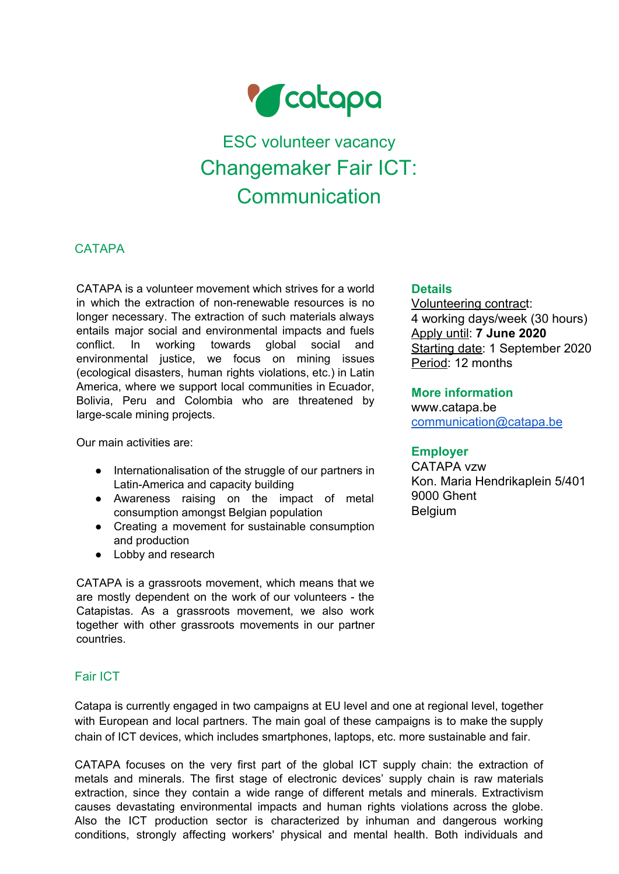

# ESC volunteer vacancy Changemaker Fair ICT: **Communication**

# **CATAPA**

CATAPA is a volunteer movement which strives for a world in which the extraction of non-renewable resources is no longer necessary. The extraction of such materials always entails major social and environmental impacts and fuels conflict. In working towards global social and environmental justice, we focus on mining issues (ecological disasters, human rights violations, etc.) in Latin America, where we support local communities in Ecuador, Bolivia, Peru and Colombia who are threatened by large-scale mining projects.

Our main activities are:

- Internationalisation of the struggle of our partners in Latin-America and capacity building
- Awareness raising on the impact of metal consumption amongst Belgian population
- Creating a movement for sustainable consumption and production
- Lobby and research

CATAPA is a grassroots movement, which means that we are mostly dependent on the work of our volunteers - the Catapistas. As a grassroots movement, we also work together with other grassroots movements in our partner countries.

# Fair ICT

Catapa is currently engaged in two campaigns at EU level and one at regional level, together with European and local partners. The main goal of these campaigns is to make the supply chain of ICT devices, which includes smartphones, laptops, etc. more sustainable and fair.

CATAPA focuses on the very first part of the global ICT supply chain: the extraction of metals and minerals. The first stage of electronic devices' supply chain is raw materials extraction, since they contain a wide range of different metals and minerals. Extractivism causes devastating environmental impacts and human rights violations across the globe. Also the ICT production sector is characterized by inhuman and dangerous working conditions, strongly affecting workers' physical and mental health. Both individuals and

#### **Details**

Volunteering contract: 4 working days/week (30 hours) Apply until: **7 June 2020** Starting date: 1 September 2020 Period: 12 months

#### **More information**

www.catapa.be [communication@catapa.be](mailto:communication@catapa.be)

## **Employer**

CATAPA vzw Kon. Maria Hendrikaplein 5/401 9000 Ghent Belgium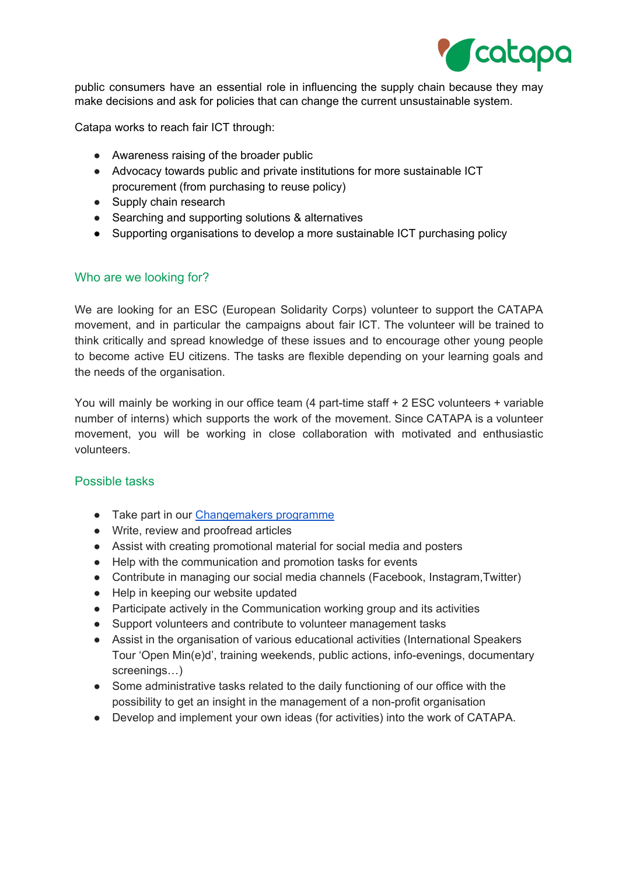

public consumers have an essential role in influencing the supply chain because they may make decisions and ask for policies that can change the current unsustainable system.

Catapa works to reach fair ICT through:

- Awareness raising of the broader public
- Advocacy towards public and private institutions for more sustainable ICT procurement (from purchasing to reuse policy)
- Supply chain research
- Searching and supporting solutions & alternatives
- Supporting organisations to develop a more sustainable ICT purchasing policy

#### Who are we looking for?

We are looking for an ESC (European Solidarity Corps) volunteer to support the CATAPA movement, and in particular the campaigns about fair ICT. The volunteer will be trained to think critically and spread knowledge of these issues and to encourage other young people to become active EU citizens. The tasks are flexible depending on your learning goals and the needs of the organisation.

You will mainly be working in our office team (4 part-time staff + 2 ESC volunteers + variable number of interns) which supports the work of the movement. Since CATAPA is a volunteer movement, you will be working in close collaboration with motivated and enthusiastic volunteers.

#### Possible tasks

- Take part in our [Changemakers](https://catapa.be/en/act-now/become-a-change-maker/) programme
- Write, review and proofread articles
- Assist with creating promotional material for social media and posters
- Help with the communication and promotion tasks for events
- Contribute in managing our social media channels (Facebook, Instagram,Twitter)
- Help in keeping our website updated
- Participate actively in the Communication working group and its activities
- Support volunteers and contribute to volunteer management tasks
- Assist in the organisation of various educational activities (International Speakers Tour 'Open Min(e)d', training weekends, public actions, info-evenings, documentary screenings…)
- Some administrative tasks related to the daily functioning of our office with the possibility to get an insight in the management of a non-profit organisation
- Develop and implement your own ideas (for activities) into the work of CATAPA.